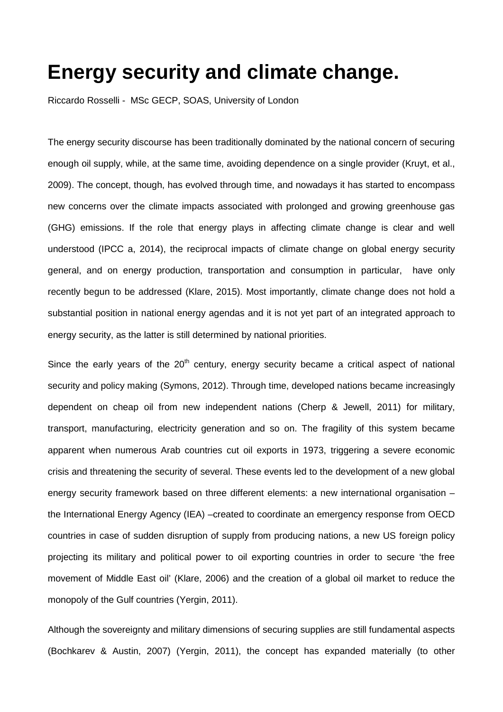## **Energy security and climate change.**

Riccardo Rosselli - MSc GECP, SOAS, University of London

The energy security discourse has been traditionally dominated by the national concern of securing enough oil supply, while, at the same time, avoiding dependence on a single provider (Kruyt, et al., 2009). The concept, though, has evolved through time, and nowadays it has started to encompass new concerns over the climate impacts associated with prolonged and growing greenhouse gas (GHG) emissions. If the role that energy plays in affecting climate change is clear and well understood (IPCC a, 2014), the reciprocal impacts of climate change on global energy security general, and on energy production, transportation and consumption in particular, have only recently begun to be addressed (Klare, 2015). Most importantly, climate change does not hold a substantial position in national energy agendas and it is not yet part of an integrated approach to energy security, as the latter is still determined by national priorities.

Since the early years of the  $20<sup>th</sup>$  century, energy security became a critical aspect of national security and policy making (Symons, 2012). Through time, developed nations became increasingly dependent on cheap oil from new independent nations (Cherp & Jewell, 2011) for military, transport, manufacturing, electricity generation and so on. The fragility of this system became apparent when numerous Arab countries cut oil exports in 1973, triggering a severe economic crisis and threatening the security of several. These events led to the development of a new global energy security framework based on three different elements: a new international organisation – the International Energy Agency (IEA) –created to coordinate an emergency response from OECD countries in case of sudden disruption of supply from producing nations, a new US foreign policy projecting its military and political power to oil exporting countries in order to secure 'the free movement of Middle East oil' (Klare, 2006) and the creation of a global oil market to reduce the monopoly of the Gulf countries (Yergin, 2011).

Although the sovereignty and military dimensions of securing supplies are still fundamental aspects (Bochkarev & Austin, 2007) (Yergin, 2011), the concept has expanded materially (to other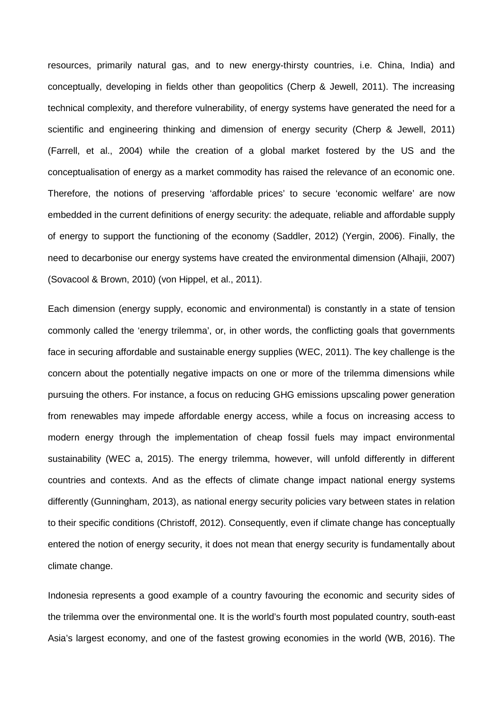resources, primarily natural gas, and to new energy-thirsty countries, i.e. China, India) and conceptually, developing in fields other than geopolitics (Cherp & Jewell, 2011). The increasing technical complexity, and therefore vulnerability, of energy systems have generated the need for a scientific and engineering thinking and dimension of energy security (Cherp & Jewell, 2011) (Farrell, et al., 2004) while the creation of a global market fostered by the US and the conceptualisation of energy as a market commodity has raised the relevance of an economic one. Therefore, the notions of preserving 'affordable prices' to secure 'economic welfare' are now embedded in the current definitions of energy security: the adequate, reliable and affordable supply of energy to support the functioning of the economy (Saddler, 2012) (Yergin, 2006). Finally, the need to decarbonise our energy systems have created the environmental dimension (Alhajii, 2007) (Sovacool & Brown, 2010) (von Hippel, et al., 2011).

Each dimension (energy supply, economic and environmental) is constantly in a state of tension commonly called the 'energy trilemma', or, in other words, the conflicting goals that governments face in securing affordable and sustainable energy supplies (WEC, 2011). The key challenge is the concern about the potentially negative impacts on one or more of the trilemma dimensions while pursuing the others. For instance, a focus on reducing GHG emissions upscaling power generation from renewables may impede affordable energy access, while a focus on increasing access to modern energy through the implementation of cheap fossil fuels may impact environmental sustainability (WEC a, 2015). The energy trilemma, however, will unfold differently in different countries and contexts. And as the effects of climate change impact national energy systems differently (Gunningham, 2013), as national energy security policies vary between states in relation to their specific conditions (Christoff, 2012). Consequently, even if climate change has conceptually entered the notion of energy security, it does not mean that energy security is fundamentally about climate change.

Indonesia represents a good example of a country favouring the economic and security sides of the trilemma over the environmental one. It is the world's fourth most populated country, south-east Asia's largest economy, and one of the fastest growing economies in the world (WB, 2016). The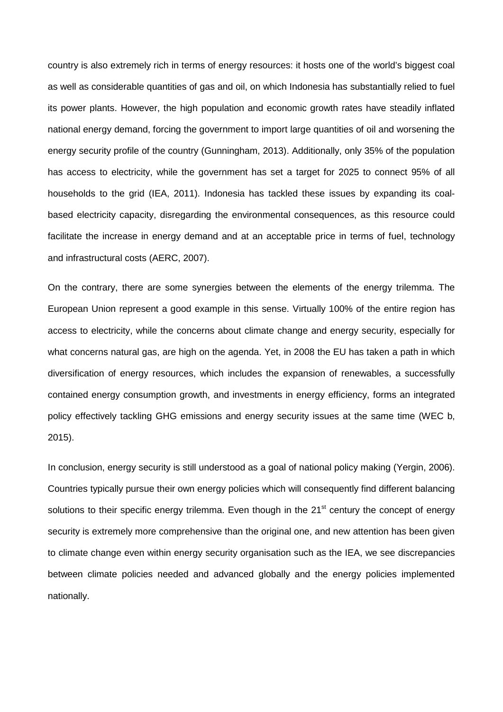country is also extremely rich in terms of energy resources: it hosts one of the world's biggest coal as well as considerable quantities of gas and oil, on which Indonesia has substantially relied to fuel its power plants. However, the high population and economic growth rates have steadily inflated national energy demand, forcing the government to import large quantities of oil and worsening the energy security profile of the country (Gunningham, 2013). Additionally, only 35% of the population has access to electricity, while the government has set a target for 2025 to connect 95% of all households to the grid (IEA, 2011). Indonesia has tackled these issues by expanding its coalbased electricity capacity, disregarding the environmental consequences, as this resource could facilitate the increase in energy demand and at an acceptable price in terms of fuel, technology and infrastructural costs (AERC, 2007).

On the contrary, there are some synergies between the elements of the energy trilemma. The European Union represent a good example in this sense. Virtually 100% of the entire region has access to electricity, while the concerns about climate change and energy security, especially for what concerns natural gas, are high on the agenda. Yet, in 2008 the EU has taken a path in which diversification of energy resources, which includes the expansion of renewables, a successfully contained energy consumption growth, and investments in energy efficiency, forms an integrated policy effectively tackling GHG emissions and energy security issues at the same time (WEC b, 2015).

In conclusion, energy security is still understood as a goal of national policy making (Yergin, 2006). Countries typically pursue their own energy policies which will consequently find different balancing solutions to their specific energy trilemma. Even though in the 21<sup>st</sup> century the concept of energy security is extremely more comprehensive than the original one, and new attention has been given to climate change even within energy security organisation such as the IEA, we see discrepancies between climate policies needed and advanced globally and the energy policies implemented nationally.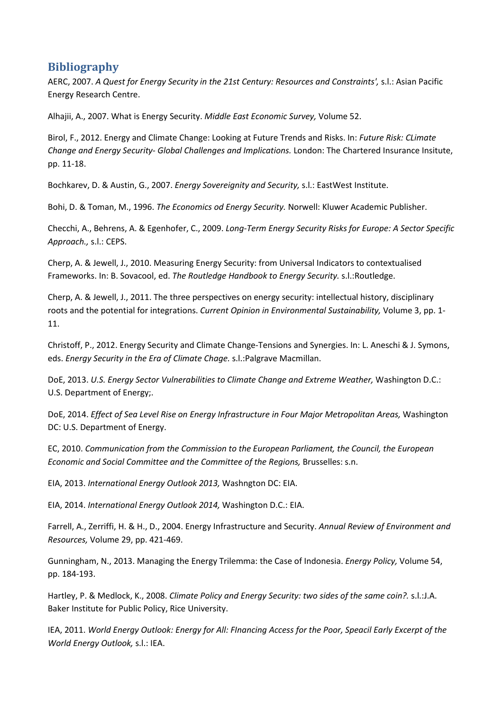## **Bibliography**

AERC, 2007. *A Quest for Energy Security in the 21st Century: Resources and Constraints',* s.l.: Asian Pacific Energy Research Centre.

Alhajii, A., 2007. What is Energy Security. *Middle East Economic Survey,* Volume 52.

Birol, F., 2012. Energy and Climate Change: Looking at Future Trends and Risks. In: *Future Risk: CLimate Change and Energy Security- Global Challenges and Implications.* London: The Chartered Insurance Insitute, pp. 11-18.

Bochkarev, D. & Austin, G., 2007. *Energy Sovereignity and Security,* s.l.: EastWest Institute.

Bohi, D. & Toman, M., 1996. *The Economics od Energy Security.* Norwell: Kluwer Academic Publisher.

Checchi, A., Behrens, A. & Egenhofer, C., 2009. *Long-Term Energy Security Risks for Europe: A Sector Specific Approach.,* s.l.: CEPS.

Cherp, A. & Jewell, J., 2010. Measuring Energy Security: from Universal Indicators to contextualised Frameworks. In: B. Sovacool, ed. *The Routledge Handbook to Energy Security.* s.l.:Routledge.

Cherp, A. & Jewell, J., 2011. The three perspectives on energy security: intellectual history, disciplinary roots and the potential for integrations. *Current Opinion in Environmental Sustainability,* Volume 3, pp. 1- 11.

Christoff, P., 2012. Energy Security and Climate Change-Tensions and Synergies. In: L. Aneschi & J. Symons, eds. *Energy Security in the Era of Climate Chage.* s.l.:Palgrave Macmillan.

DoE, 2013. *U.S. Energy Sector Vulnerabilities to Climate Change and Extreme Weather, Washington D.C.:* U.S. Department of Energy;.

DoE, 2014. *Effect of Sea Level Rise on Energy Infrastructure in Four Major Metropolitan Areas,* Washington DC: U.S. Department of Energy.

EC, 2010. *Communication from the Commission to the European Parliament, the Council, the European Economic and Social Committee and the Committee of the Regions, Brusselles: s.n.* 

EIA, 2013. *International Energy Outlook 2013,* Washngton DC: EIA.

EIA, 2014. *International Energy Outlook 2014,* Washington D.C.: EIA.

Farrell, A., Zerriffi, H. & H., D., 2004. Energy Infrastructure and Security. *Annual Review of Environment and Resources,* Volume 29, pp. 421-469.

Gunningham, N., 2013. Managing the Energy Trilemma: the Case of Indonesia. *Energy Policy,* Volume 54, pp. 184-193.

Hartley, P. & Medlock, K., 2008. *Climate Policy and Energy Security: two sides of the same coin?.* s.l.:J.A. Baker Institute for Public Policy, Rice University.

IEA, 2011. *World Energy Outlook: Energy for All: FInancing Access for the Poor, Speacil Early Excerpt of the World Energy Outlook,* s.l.: IEA.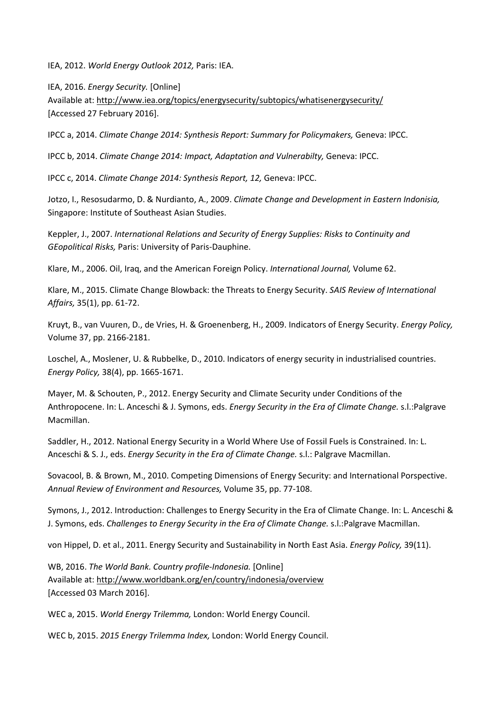IEA, 2012. *World Energy Outlook 2012,* Paris: IEA.

IEA, 2016. *Energy Security.* [Online] Available at: http://www.iea.org/topics/energysecurity/subtopics/whatisenergysecurity/ [Accessed 27 February 2016].

IPCC a, 2014. *Climate Change 2014: Synthesis Report: Summary for Policymakers,* Geneva: IPCC.

IPCC b, 2014. *Climate Change 2014: Impact, Adaptation and Vulnerabilty,* Geneva: IPCC.

IPCC c, 2014. *Climate Change 2014: Synthesis Report, 12,* Geneva: IPCC.

Jotzo, I., Resosudarmo, D. & Nurdianto, A., 2009. *Climate Change and Development in Eastern Indonisia,*  Singapore: Institute of Southeast Asian Studies.

Keppler, J., 2007. *International Relations and Security of Energy Supplies: Risks to Continuity and GEopolitical Risks,* Paris: University of Paris-Dauphine.

Klare, M., 2006. Oil, Iraq, and the American Foreign Policy. *International Journal,* Volume 62.

Klare, M., 2015. Climate Change Blowback: the Threats to Energy Security. *SAIS Review of International Affairs,* 35(1), pp. 61-72.

Kruyt, B., van Vuuren, D., de Vries, H. & Groenenberg, H., 2009. Indicators of Energy Security. *Energy Policy,*  Volume 37, pp. 2166-2181.

Loschel, A., Moslener, U. & Rubbelke, D., 2010. Indicators of energy security in industrialised countries. *Energy Policy,* 38(4), pp. 1665-1671.

Mayer, M. & Schouten, P., 2012. Energy Security and Climate Security under Conditions of the Anthropocene. In: L. Anceschi & J. Symons, eds. *Energy Security in the Era of Climate Change.* s.l.:Palgrave Macmillan.

Saddler, H., 2012. National Energy Security in a World Where Use of Fossil Fuels is Constrained. In: L. Anceschi & S. J., eds. *Energy Security in the Era of Climate Change.* s.l.: Palgrave Macmillan.

Sovacool, B. & Brown, M., 2010. Competing Dimensions of Energy Security: and International Porspective. *Annual Review of Environment and Resources,* Volume 35, pp. 77-108.

Symons, J., 2012. Introduction: Challenges to Energy Security in the Era of Climate Change. In: L. Anceschi & J. Symons, eds. *Challenges to Energy Security in the Era of Climate Change.* s.l.:Palgrave Macmillan.

von Hippel, D. et al., 2011. Energy Security and Sustainability in North East Asia. *Energy Policy,* 39(11).

WB, 2016. *The World Bank. Country profile-Indonesia.* [Online] Available at: http://www.worldbank.org/en/country/indonesia/overview [Accessed 03 March 2016].

WEC a, 2015. *World Energy Trilemma,* London: World Energy Council.

WEC b, 2015. *2015 Energy Trilemma Index,* London: World Energy Council.